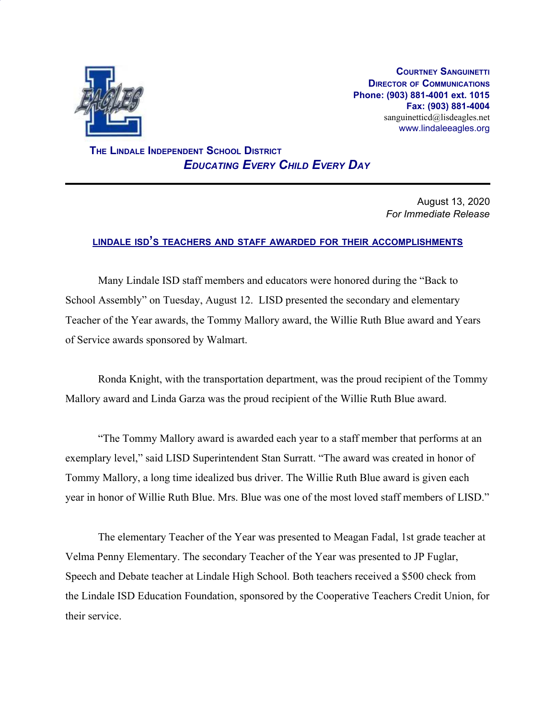

**COURTNEY SANGUINETTI DIRECTOR OF COMMUNICATIONS Phone: (903) 881-4001 ext. 1015 Fax: (903) 881-4004** sanguinetticd@lisdeagles.net www.lindaleeagles.org

 **THE LINDALE INDEPENDENT SCHOOL DISTRICT** *EDUCATING EVERY CHILD EVERY DAY*

> August 13, 2020 *For Immediate Release*

## **LINDALE ISD'<sup>S</sup> TEACHERS AND STAFF AWARDED FOR THEIR ACCOMPLISHMENTS**

Many Lindale ISD staff members and educators were honored during the "Back to School Assembly" on Tuesday, August 12. LISD presented the secondary and elementary Teacher of the Year awards, the Tommy Mallory award, the Willie Ruth Blue award and Years of Service awards sponsored by Walmart.

Ronda Knight, with the transportation department, was the proud recipient of the Tommy Mallory award and Linda Garza was the proud recipient of the Willie Ruth Blue award.

"The Tommy Mallory award is awarded each year to a staff member that performs at an exemplary level," said LISD Superintendent Stan Surratt. "The award was created in honor of Tommy Mallory, a long time idealized bus driver. The Willie Ruth Blue award is given each year in honor of Willie Ruth Blue. Mrs. Blue was one of the most loved staff members of LISD."

The elementary Teacher of the Year was presented to Meagan Fadal, 1st grade teacher at Velma Penny Elementary. The secondary Teacher of the Year was presented to JP Fuglar, Speech and Debate teacher at Lindale High School. Both teachers received a \$500 check from the Lindale ISD Education Foundation, sponsored by the Cooperative Teachers Credit Union, for their service.